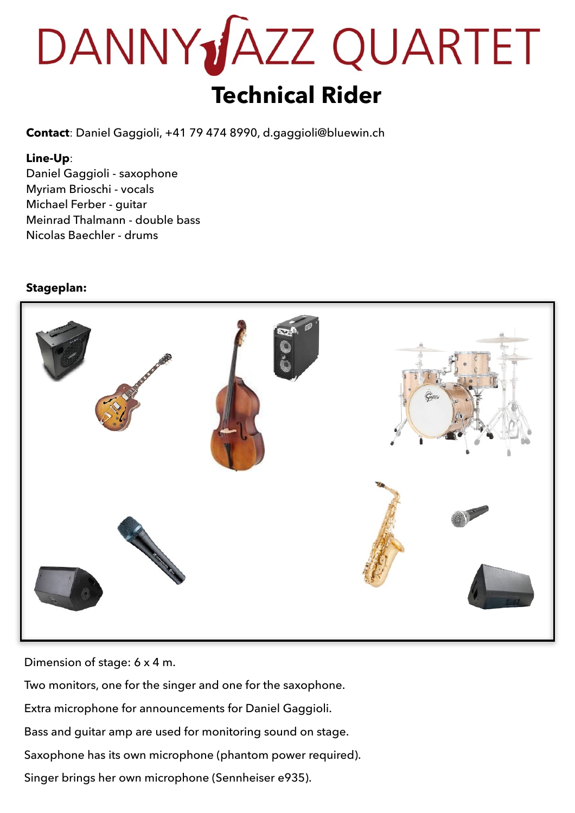# DANNY**JAZZ QUARTET Technical Rider**

**Contact**: Daniel Gaggioli, +41 79 474 8990, d.gaggioli@bluewin.ch

#### **Line-Up**:

Daniel Gaggioli - saxophone Myriam Brioschi - vocals Michael Ferber - guitar Meinrad Thalmann - double bass Nicolas Baechler - drums

### **Stageplan:**



Dimension of stage: 6 x 4 m.

Two monitors, one for the singer and one for the saxophone. Extra microphone for announcements for Daniel Gaggioli. Bass and guitar amp are used for monitoring sound on stage. Saxophone has its own microphone (phantom power required). Singer brings her own microphone (Sennheiser e935).